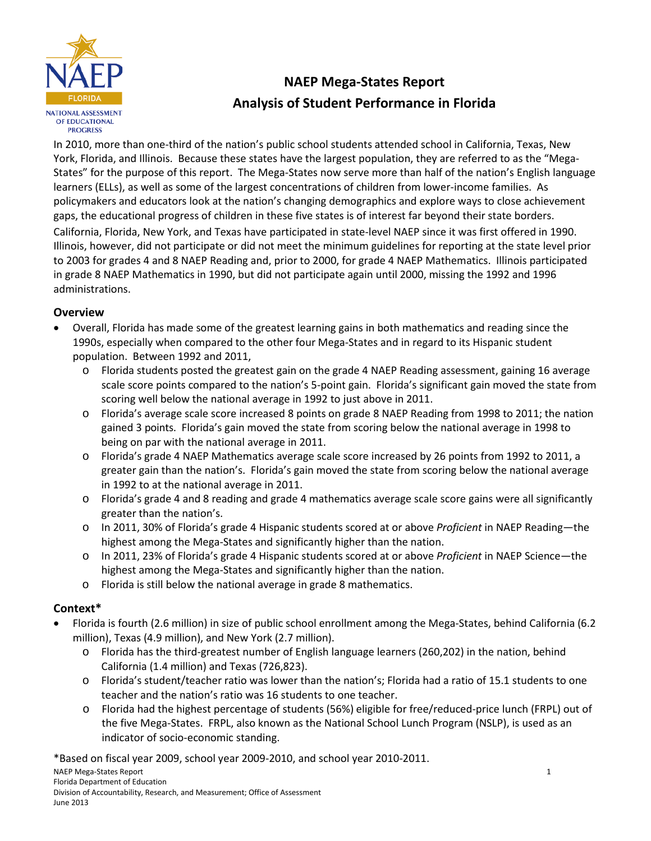

# **NAEP Mega-States Report Analysis of Student Performance in Florida**

In 2010, more than one-third of the nation's public school students attended school in California, Texas, New York, Florida, and Illinois. Because these states have the largest population, they are referred to as the "Mega-States" for the purpose of this report. The Mega-States now serve more than half of the nation's English language learners (ELLs), as well as some of the largest concentrations of children from lower-income families. As policymakers and educators look at the nation's changing demographics and explore ways to close achievement gaps, the educational progress of children in these five states is of interest far beyond their state borders.

California, Florida, New York, and Texas have participated in state-level NAEP since it was first offered in 1990. Illinois, however, did not participate or did not meet the minimum guidelines for reporting at the state level prior to 2003 for grades 4 and 8 NAEP Reading and, prior to 2000, for grade 4 NAEP Mathematics. Illinois participated in grade 8 NAEP Mathematics in 1990, but did not participate again until 2000, missing the 1992 and 1996 administrations.

# **Overview**

- Overall, Florida has made some of the greatest learning gains in both mathematics and reading since the 1990s, especially when compared to the other four Mega-States and in regard to its Hispanic student population. Between 1992 and 2011,
	- o Florida students posted the greatest gain on the grade 4 NAEP Reading assessment, gaining 16 average scale score points compared to the nation's 5-point gain. Florida's significant gain moved the state from scoring well below the national average in 1992 to just above in 2011.
	- o Florida's average scale score increased 8 points on grade 8 NAEP Reading from 1998 to 2011; the nation gained 3 points. Florida's gain moved the state from scoring below the national average in 1998 to being on par with the national average in 2011.
	- o Florida's grade 4 NAEP Mathematics average scale score increased by 26 points from 1992 to 2011, a greater gain than the nation's. Florida's gain moved the state from scoring below the national average in 1992 to at the national average in 2011.
	- o Florida's grade 4 and 8 reading and grade 4 mathematics average scale score gains were all significantly greater than the nation's.
	- o In 2011, 30% of Florida's grade 4 Hispanic students scored at or above *Proficient* in NAEP Reading―the highest among the Mega-States and significantly higher than the nation.
	- o In 2011, 23% of Florida's grade 4 Hispanic students scored at or above *Proficient* in NAEP Science―the highest among the Mega-States and significantly higher than the nation.
	- o Florida is still below the national average in grade 8 mathematics.

# **Context\***

- Florida is fourth (2.6 million) in size of public school enrollment among the Mega-States, behind California (6.2 million), Texas (4.9 million), and New York (2.7 million).
	- o Florida has the third-greatest number of English language learners (260,202) in the nation, behind California (1.4 million) and Texas (726,823).
	- o Florida's student/teacher ratio was lower than the nation's; Florida had a ratio of 15.1 students to one teacher and the nation's ratio was 16 students to one teacher.
	- o Florida had the highest percentage of students (56%) eligible for free/reduced-price lunch (FRPL) out of the five Mega-States. FRPL, also known as the National School Lunch Program (NSLP), is used as an indicator of socio-economic standing.

\*Based on fiscal year 2009, school year 2009-2010, and school year 2010-2011. NAEP Mega-States Report Florida Department of Education Division of Accountability, Research, and Measurement; Office of Assessment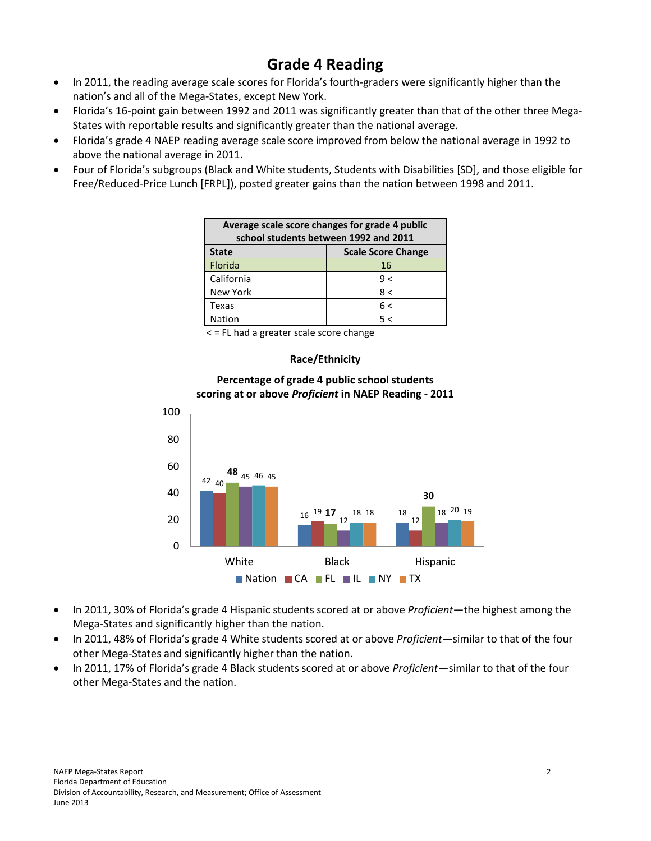# **Grade 4 Reading**

- In 2011, the reading average scale scores for Florida's fourth-graders were significantly higher than the nation's and all of the Mega-States, except New York.
- Florida's 16-point gain between 1992 and 2011 was significantly greater than that of the other three Mega-States with reportable results and significantly greater than the national average.
- Florida's grade 4 NAEP reading average scale score improved from below the national average in 1992 to above the national average in 2011.
- Four of Florida's subgroups (Black and White students, Students with Disabilities [SD], and those eligible for Free/Reduced-Price Lunch [FRPL]), posted greater gains than the nation between 1998 and 2011.

| Average scale score changes for grade 4 public<br>school students between 1992 and 2011 |     |  |  |  |  |  |
|-----------------------------------------------------------------------------------------|-----|--|--|--|--|--|
| <b>Scale Score Change</b><br><b>State</b>                                               |     |  |  |  |  |  |
| Florida                                                                                 | 16  |  |  |  |  |  |
| California                                                                              | 9 < |  |  |  |  |  |
| <b>New York</b>                                                                         | 8 < |  |  |  |  |  |
| Texas                                                                                   | 6 < |  |  |  |  |  |
| Nation                                                                                  | 5 < |  |  |  |  |  |

< = FL had a greater scale score change

### **Race/Ethnicity**



### **Percentage of grade 4 public school students scoring at or above** *Proficient* **in NAEP Reading - 2011**

- In 2011, 30% of Florida's grade 4 Hispanic students scored at or above *Proficient*―the highest among the Mega-States and significantly higher than the nation.
- In 2011, 48% of Florida's grade 4 White students scored at or above *Proficient*—similar to that of the four other Mega-States and significantly higher than the nation.
- In 2011, 17% of Florida's grade 4 Black students scored at or above *Proficient*—similar to that of the four other Mega-States and the nation.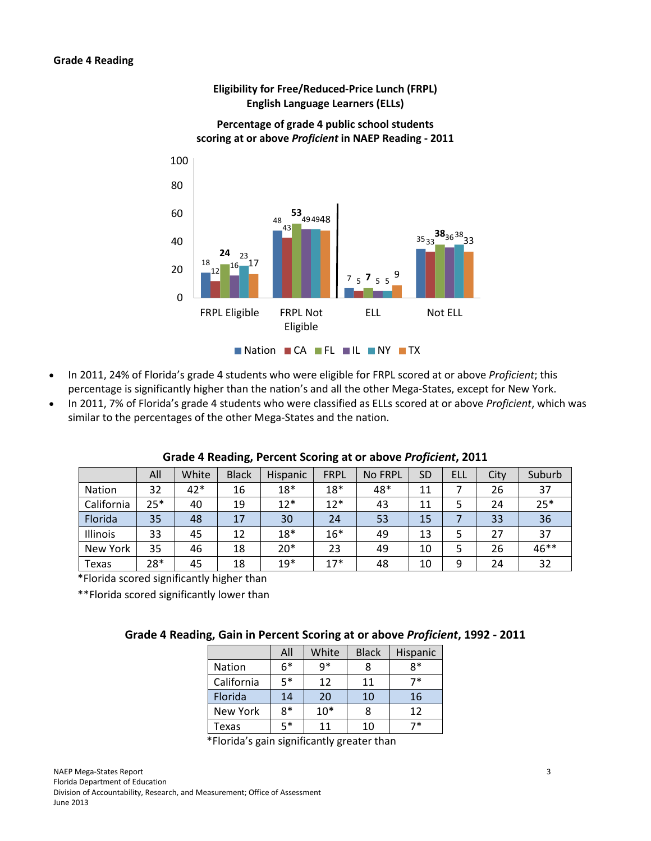

## **Eligibility for Free/Reduced-Price Lunch (FRPL) English Language Learners (ELLs)**

- In 2011, 24% of Florida's grade 4 students who were eligible for FRPL scored at or above *Proficient*; this percentage is significantly higher than the nation's and all the other Mega-States, except for New York.
- In 2011, 7% of Florida's grade 4 students who were classified as ELLs scored at or above *Proficient*, which was similar to the percentages of the other Mega-States and the nation.

|            | All   | White | <b>Black</b> | <b>Hispanic</b> | <b>FRPL</b> | No FRPL | <b>SD</b> | ELL | City | Suburb |
|------------|-------|-------|--------------|-----------------|-------------|---------|-----------|-----|------|--------|
| Nation     | 32    | $42*$ | 16           | $18*$           | $18*$       | 48*     | 11        |     | 26   | 37     |
| California | $25*$ | 40    | 19           | $12*$           | $12*$       | 43      | 11        |     | 24   | $25*$  |
| Florida    | 35    | 48    | 17           | 30              | 24          | 53      | 15        |     | 33   | 36     |
| Illinois   | 33    | 45    | 12           | $18*$           | $16*$       | 49      | 13        | 5   | 27   | 37     |
| New York   | 35    | 46    | 18           | $20*$           | 23          | 49      | 10        |     | 26   | 46**   |
| Texas      | 28*   | 45    | 18           | $19*$           | $17*$       | 48      | 10        | 9   | 24   | 32     |

### **Grade 4 Reading, Percent Scoring at or above** *Proficient***, 2011**

\*Florida scored significantly higher than

\*\*Florida scored significantly lower than

### **Grade 4 Reading, Gain in Percent Scoring at or above** *Proficient***, 1992 - 2011**

|               | All  | White | <b>Black</b> | Hispanic |
|---------------|------|-------|--------------|----------|
| <b>Nation</b> | $6*$ | g*    |              | 8*       |
| California    | 5*   | 12    | 11           | 7*       |
| Florida       | 14   | 20    | 10           | 16       |
| New York      | 8*   | $10*$ |              | 12       |
| Texas         | 5*   | 11    | 10           | 7*       |

\*Florida's gain significantly greater than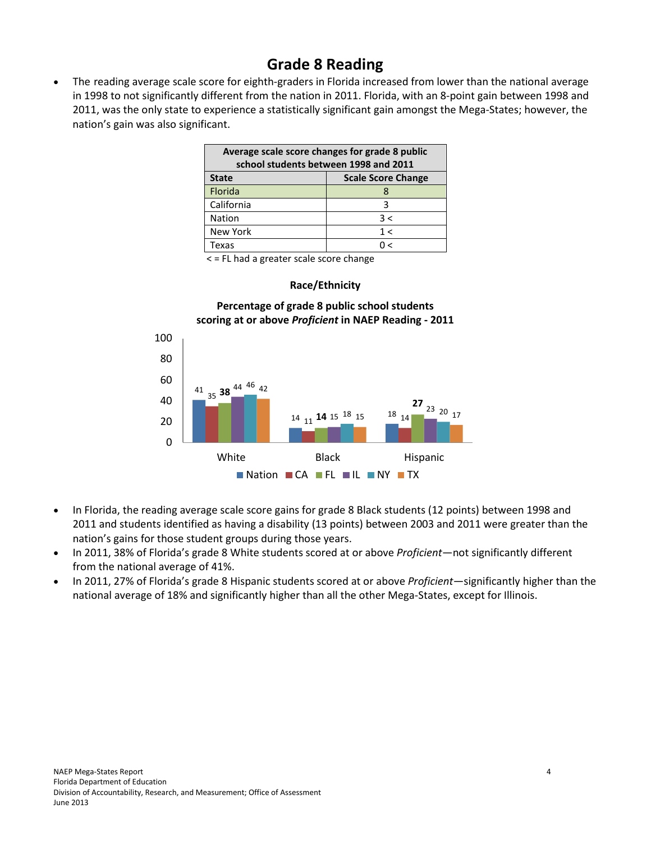# **Grade 8 Reading**

• The reading average scale score for eighth-graders in Florida increased from lower than the national average in 1998 to not significantly different from the nation in 2011. Florida, with an 8-point gain between 1998 and 2011, was the only state to experience a statistically significant gain amongst the Mega-States; however, the nation's gain was also significant.

| Average scale score changes for grade 8 public<br>school students between 1998 and 2011 |     |  |  |  |  |  |  |
|-----------------------------------------------------------------------------------------|-----|--|--|--|--|--|--|
| <b>Scale Score Change</b><br><b>State</b>                                               |     |  |  |  |  |  |  |
| Florida                                                                                 | x   |  |  |  |  |  |  |
| California                                                                              | ς   |  |  |  |  |  |  |
| <b>Nation</b>                                                                           | 3 < |  |  |  |  |  |  |
| New York                                                                                | 1 < |  |  |  |  |  |  |
| Texas                                                                                   | ╭   |  |  |  |  |  |  |

< = FL had a greater scale score change

### **Race/Ethnicity**

### **Percentage of grade 8 public school students scoring at or above** *Proficient* **in NAEP Reading - 2011**



- In Florida, the reading average scale score gains for grade 8 Black students (12 points) between 1998 and 2011 and students identified as having a disability (13 points) between 2003 and 2011 were greater than the nation's gains for those student groups during those years.
- In 2011, 38% of Florida's grade 8 White students scored at or above *Proficient*―not significantly different from the national average of 41%.
- In 2011, 27% of Florida's grade 8 Hispanic students scored at or above *Proficient*―significantly higher than the national average of 18% and significantly higher than all the other Mega-States, except for Illinois.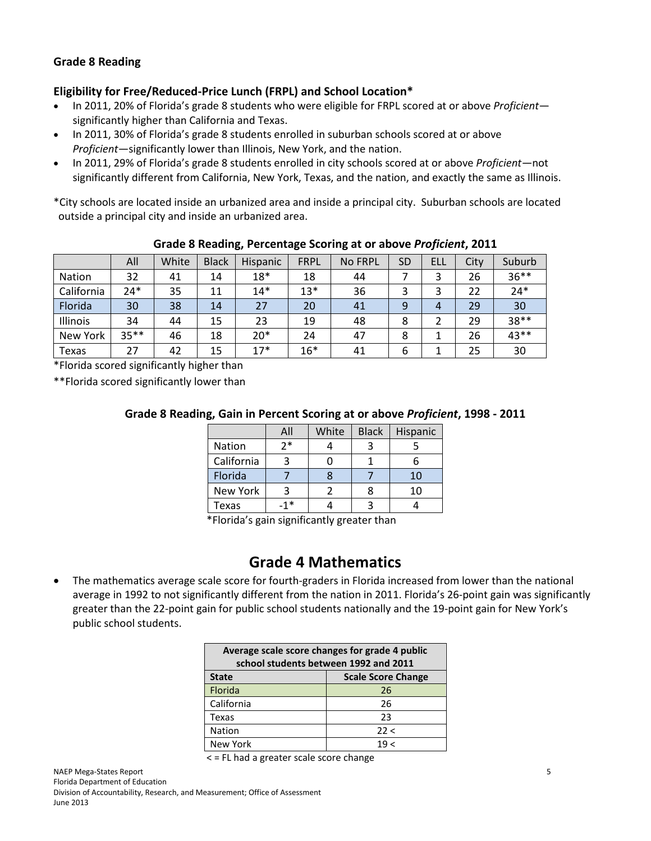# **Grade 8 Reading**

## **Eligibility for Free/Reduced-Price Lunch (FRPL) and School Location\***

- In 2011, 20% of Florida's grade 8 students who were eligible for FRPL scored at or above *Proficient*― significantly higher than California and Texas.
- In 2011, 30% of Florida's grade 8 students enrolled in suburban schools scored at or above *Proficient*―significantly lower than Illinois, New York, and the nation.
- In 2011, 29% of Florida's grade 8 students enrolled in city schools scored at or above *Proficient―*not significantly different from California, New York, Texas, and the nation, and exactly the same as Illinois.

\*City schools are located inside an urbanized area and inside a principal city. Suburban schools are located outside a principal city and inside an urbanized area.

|            | All    | White | <b>Black</b> | Hispanic | <b>FRPL</b> | No FRPL | <b>SD</b> | ELL | City | Suburb  |
|------------|--------|-------|--------------|----------|-------------|---------|-----------|-----|------|---------|
| Nation     | 32     | 41    | 14           | $18*$    | 18          | 44      |           | 3   | 26   | $36***$ |
| California | $24*$  | 35    | 11           | $14*$    | $13*$       | 36      | ว         | 3   | 22   | $24*$   |
| Florida    | 30     | 38    | 14           | 27       | 20          | 41      | 9         | 4   | 29   | 30      |
| Illinois   | 34     | 44    | 15           | 23       | 19          | 48      | 8         |     | 29   | 38**    |
| New York   | $35**$ | 46    | 18           | $20*$    | 24          | 47      | 8         |     | 26   | 43**    |
| Texas      | 27     | 42    | 15           | $17*$    | $16*$       | 41      | 6         |     | 25   | 30      |

### **Grade 8 Reading, Percentage Scoring at or above** *Proficient***, 2011**

\*Florida scored significantly higher than

\*\*Florida scored significantly lower than

### **Grade 8 Reading, Gain in Percent Scoring at or above** *Proficient***, 1998 - 2011**

|            | All   | White | <b>Black</b> | Hispanic |
|------------|-------|-------|--------------|----------|
| Nation     | 2*    |       |              |          |
| California |       |       |              |          |
| Florida    |       |       |              | 10       |
| New York   |       |       | 8            | 10       |
| Texas      | $-1*$ |       | 3            |          |

\*Florida's gain significantly greater than

# **Grade 4 Mathematics**

• The mathematics average scale score for fourth-graders in Florida increased from lower than the national average in 1992 to not significantly different from the nation in 2011. Florida's 26-point gain was significantly greater than the 22-point gain for public school students nationally and the 19-point gain for New York's public school students.

| Average scale score changes for grade 4 public<br>school students between 1992 and 2011 |      |  |  |  |  |  |
|-----------------------------------------------------------------------------------------|------|--|--|--|--|--|
| <b>Scale Score Change</b><br><b>State</b>                                               |      |  |  |  |  |  |
| Florida                                                                                 | 26   |  |  |  |  |  |
| California                                                                              | 26   |  |  |  |  |  |
| Texas                                                                                   | 23   |  |  |  |  |  |
| <b>Nation</b>                                                                           | 22 < |  |  |  |  |  |
| <b>New York</b>                                                                         | ے 19 |  |  |  |  |  |

< = FL had a greater scale score change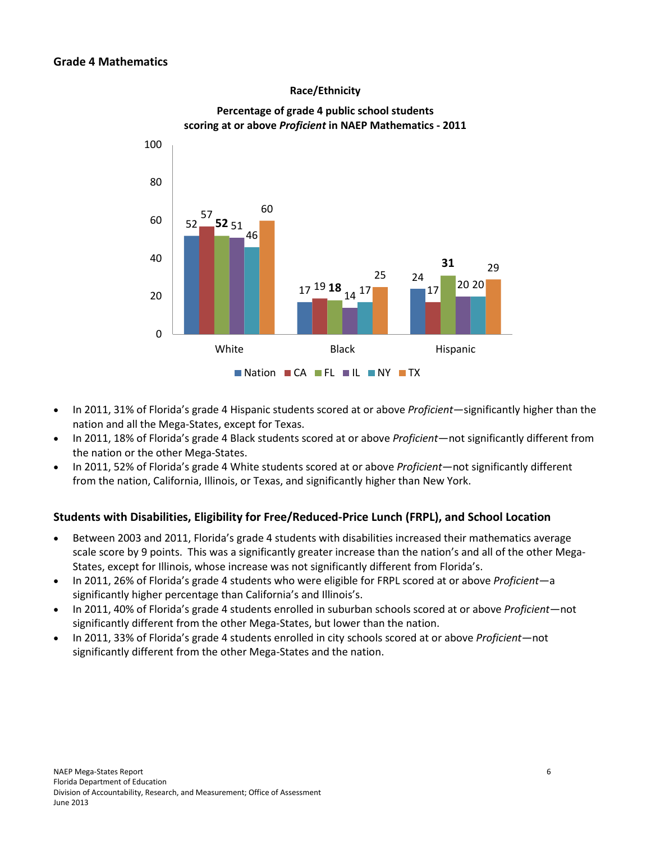### **Race/Ethnicity**



### **Percentage of grade 4 public school students scoring at or above** *Proficient* **in NAEP Mathematics - 2011**

- In 2011, 31% of Florida's grade 4 Hispanic students scored at or above *Proficient*—significantly higher than the nation and all the Mega-States, except for Texas.
- In 2011, 18% of Florida's grade 4 Black students scored at or above *Proficient*―not significantly different from the nation or the other Mega-States.
- In 2011, 52% of Florida's grade 4 White students scored at or above *Proficient*―not significantly different from the nation, California, Illinois, or Texas, and significantly higher than New York.

### **Students with Disabilities, Eligibility for Free/Reduced-Price Lunch (FRPL), and School Location**

- Between 2003 and 2011, Florida's grade 4 students with disabilities increased their mathematics average scale score by 9 points. This was a significantly greater increase than the nation's and all of the other Mega-States, except for Illinois, whose increase was not significantly different from Florida's.
- In 2011, 26% of Florida's grade 4 students who were eligible for FRPL scored at or above *Proficient*―a significantly higher percentage than California's and Illinois's.
- In 2011, 40% of Florida's grade 4 students enrolled in suburban schools scored at or above *Proficient*―not significantly different from the other Mega-States, but lower than the nation.
- In 2011, 33% of Florida's grade 4 students enrolled in city schools scored at or above *Proficient*―not significantly different from the other Mega-States and the nation.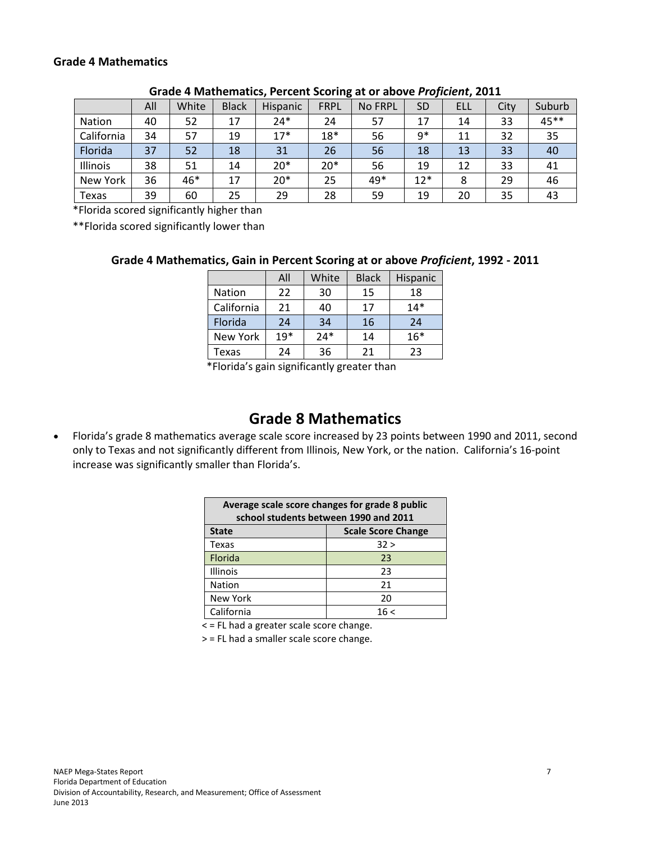### **Grade 4 Mathematics**

|            | All | White | <b>Black</b> | Hispanic | <b>FRPL</b> | No FRPL | <b>SD</b> | ELL | City | Suburb |
|------------|-----|-------|--------------|----------|-------------|---------|-----------|-----|------|--------|
| Nation     | 40  | 52    | 17           | 24*      | 24          | 57      | 17        | 14  | 33   | 45**   |
| California | 34  | 57    | 19           | $17*$    | $18*$       | 56      | $9*$      | 11  | 32   | 35     |
| Florida    | 37  | 52    | 18           | 31       | 26          | 56      | 18        | 13  | 33   | 40     |
| Illinois   | 38  | 51    | 14           | $20*$    | $20*$       | 56      | 19        | 12  | 33   | 41     |
| New York   | 36  | 46*   | 17           | $20*$    | 25          | 49*     | $12*$     | 8   | 29   | 46     |
| Texas      | 39  | 60    | 25           | 29       | 28          | 59      | 19        | 20  | 35   | 43     |

#### **Grade 4 Mathematics, Percent Scoring at or above** *Proficient***, 2011**

\*Florida scored significantly higher than

\*\*Florida scored significantly lower than

### **Grade 4 Mathematics, Gain in Percent Scoring at or above** *Proficient***, 1992 - 2011**

|               | All   | White | <b>Black</b> | Hispanic |
|---------------|-------|-------|--------------|----------|
| <b>Nation</b> | 22    | 30    | 15           | 18       |
| California    | 21    | 40    | 17           | $14*$    |
| Florida       | 24    | 34    | 16           | 24       |
| New York      | $19*$ | $24*$ | 14           | $16*$    |
| Texas         | 24    | 36    | 21           | 23       |

\*Florida's gain significantly greater than

# **Grade 8 Mathematics**

• Florida's grade 8 mathematics average scale score increased by 23 points between 1990 and 2011, second only to Texas and not significantly different from Illinois, New York, or the nation. California's 16-point increase was significantly smaller than Florida's.

| Average scale score changes for grade 8 public<br>school students between 1990 and 2011 |      |  |  |  |  |  |  |
|-----------------------------------------------------------------------------------------|------|--|--|--|--|--|--|
| <b>Scale Score Change</b><br><b>State</b>                                               |      |  |  |  |  |  |  |
| Texas                                                                                   | 32 > |  |  |  |  |  |  |
| Florida                                                                                 | 23   |  |  |  |  |  |  |
| <b>Illinois</b>                                                                         | 23   |  |  |  |  |  |  |
| Nation                                                                                  | 21   |  |  |  |  |  |  |
| <b>New York</b><br>20                                                                   |      |  |  |  |  |  |  |
| California                                                                              | 16<  |  |  |  |  |  |  |

< = FL had a greater scale score change.

> = FL had a smaller scale score change.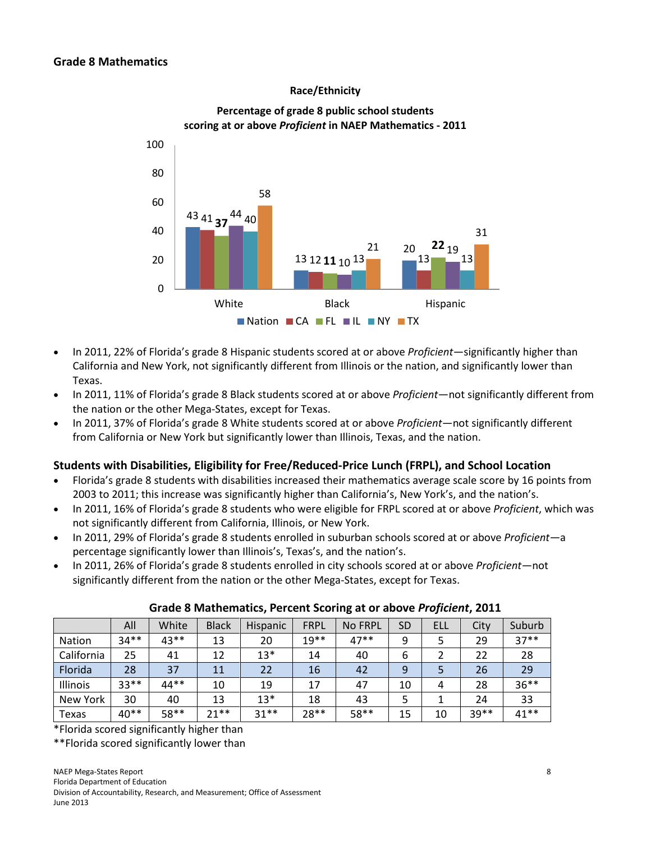### **Race/Ethnicity**



### **Percentage of grade 8 public school students scoring at or above** *Proficient* **in NAEP Mathematics - 2011**

- In 2011, 22% of Florida's grade 8 Hispanic students scored at or above *Proficient*―significantly higher than California and New York, not significantly different from Illinois or the nation, and significantly lower than Texas.
- In 2011, 11% of Florida's grade 8 Black students scored at or above *Proficient*―not significantly different from the nation or the other Mega-States, except for Texas.
- In 2011, 37% of Florida's grade 8 White students scored at or above *Proficient*―not significantly different from California or New York but significantly lower than Illinois, Texas, and the nation.

### **Students with Disabilities, Eligibility for Free/Reduced-Price Lunch (FRPL), and School Location**

- Florida's grade 8 students with disabilities increased their mathematics average scale score by 16 points from 2003 to 2011; this increase was significantly higher than California's, New York's, and the nation's.
- In 2011, 16% of Florida's grade 8 students who were eligible for FRPL scored at or above *Proficient*, which was not significantly different from California, Illinois, or New York.
- In 2011, 29% of Florida's grade 8 students enrolled in suburban schools scored at or above *Proficient*―a percentage significantly lower than Illinois's, Texas's, and the nation's.
- In 2011, 26% of Florida's grade 8 students enrolled in city schools scored at or above *Proficient*―not significantly different from the nation or the other Mega-States, except for Texas.

|               | All    | White | <b>Black</b> | <b>Hispanic</b> | <b>FRPL</b> | <b>No FRPL</b> | SD | ELL | City  | Suburb  |
|---------------|--------|-------|--------------|-----------------|-------------|----------------|----|-----|-------|---------|
| <b>Nation</b> | $34**$ | 43**  | 13           | 20              | $19**$      | $47**$         | 9  |     | 29    | $37**$  |
| California    | 25     | 41    | 12           | $13*$           | 14          | 40             | 6  |     | 22    | 28      |
| Florida       | 28     | 37    | 11           | 22              | 16          | 42             | 9  |     | 26    | 29      |
| Illinois      | $33**$ | 44**  | 10           | 19              | 17          | 47             | 10 | 4   | 28    | $36***$ |
| New York      | 30     | 40    | 13           | $13*$           | 18          | 43             |    |     | 24    | 33      |
| Texas         | $40**$ | 58**  | $21**$       | $31**$          | $28**$      | 58**           | 15 | 10  | 39 ** | $41**$  |

### **Grade 8 Mathematics, Percent Scoring at or above** *Proficient***, 2011**

\*Florida scored significantly higher than

\*\*Florida scored significantly lower than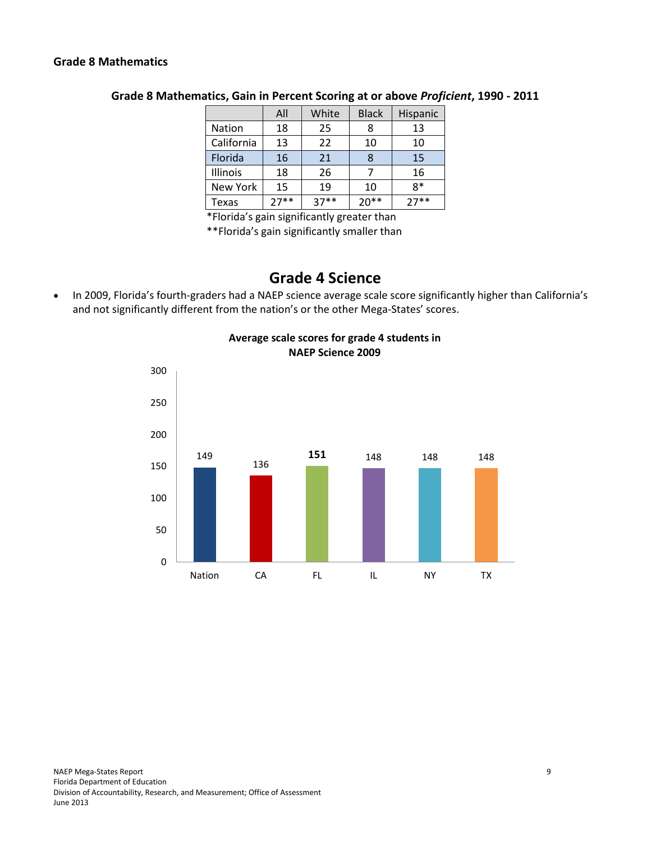### **Grade 8 Mathematics**

|               | All    | White  | <b>Black</b> | Hispanic |
|---------------|--------|--------|--------------|----------|
| <b>Nation</b> | 18     | 25     | 8            | 13       |
| California    | 13     | 22     | 10           | 10       |
| Florida       | 16     | 21     | 8            | 15       |
| Illinois      | 18     | 26     |              | 16       |
| New York      | 15     | 19     | 10           | 8*       |
| Texas         | $27**$ | $37**$ | $20**$       | $27**$   |

### **Grade 8 Mathematics, Gain in Percent Scoring at or above** *Proficient***, 1990 - 2011**

\*Florida's gain significantly greater than

\*\*Florida's gain significantly smaller than

# **Grade 4 Science**

• In 2009, Florida's fourth-graders had a NAEP science average scale score significantly higher than California's and not significantly different from the nation's or the other Mega-States' scores.



# **Average scale scores for grade 4 students in NAEP Science 2009**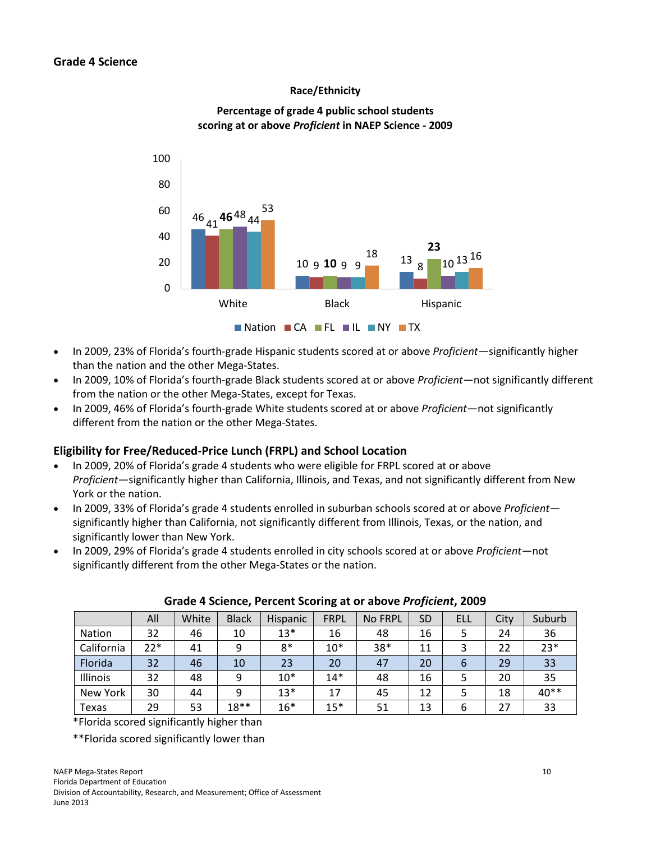### **Race/Ethnicity**



# **Percentage of grade 4 public school students scoring at or above** *Proficient* **in NAEP Science - 2009**

- In 2009, 23% of Florida's fourth-grade Hispanic students scored at or above *Proficient*—significantly higher than the nation and the other Mega-States.
- In 2009, 10% of Florida's fourth-grade Black students scored at or above *Proficient*―not significantly different from the nation or the other Mega-States, except for Texas.
- In 2009, 46% of Florida's fourth-grade White students scored at or above *Proficient*―not significantly different from the nation or the other Mega-States.

### **Eligibility for Free/Reduced-Price Lunch (FRPL) and School Location**

- In 2009, 20% of Florida's grade 4 students who were eligible for FRPL scored at or above *Proficient*―significantly higher than California, Illinois, and Texas, and not significantly different from New York or the nation.
- In 2009, 33% of Florida's grade 4 students enrolled in suburban schools scored at or above *Proficient* significantly higher than California, not significantly different from Illinois, Texas, or the nation, and significantly lower than New York.
- In 2009, 29% of Florida's grade 4 students enrolled in city schools scored at or above *Proficient*―not significantly different from the other Mega-States or the nation.

|            | All   | White | <b>Black</b> | Hispanic | <b>FRPL</b> | <b>No FRPL</b> | <b>SD</b> | <b>ELL</b> | City | Suburb |
|------------|-------|-------|--------------|----------|-------------|----------------|-----------|------------|------|--------|
| Nation     | 32    | 46    | 10           | $13*$    | 16          | 48             | 16        |            | 24   | 36     |
| California | $22*$ | 41    | 9            | 8*       | $10*$       | 38*            | 11        |            | 22   | $23*$  |
| Florida    | 32    | 46    | 10           | 23       | 20          | 47             | 20        | 6          | 29   | 33     |
| Illinois   | 32    | 48    | 9            | $10*$    | $14*$       | 48             | 16        |            | 20   | 35     |
| New York   | 30    | 44    | 9            | $13*$    | 17          | 45             | 12        |            | 18   | 40**   |
| Texas      | 29    | 53    | $18**$       | $16*$    | $15*$       | 51             | 13        | 6          | 27   | 33     |

### **Grade 4 Science, Percent Scoring at or above** *Proficient***, 2009**

\*Florida scored significantly higher than

\*\*Florida scored significantly lower than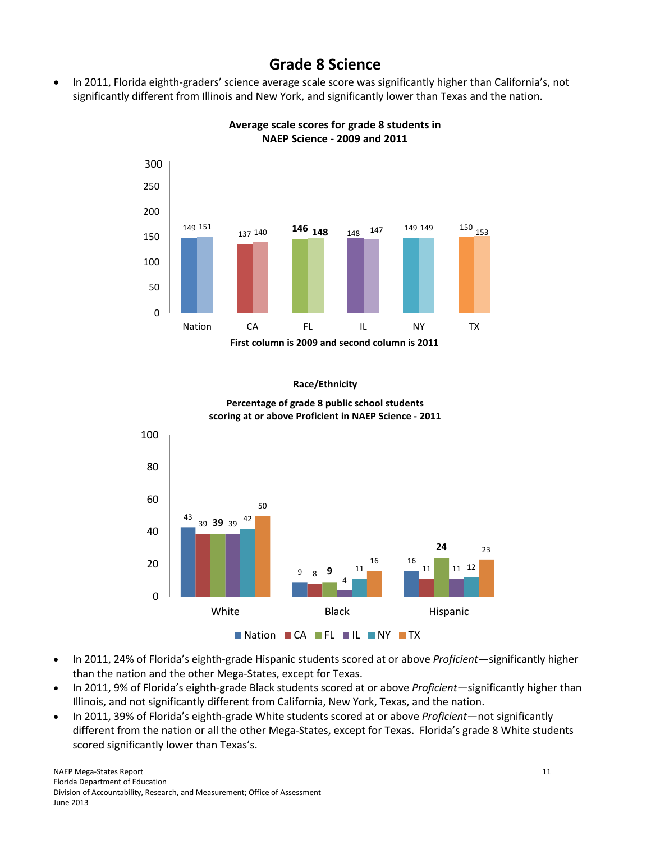# **Grade 8 Science**

• In 2011, Florida eighth-graders' science average scale score was significantly higher than California's, not significantly different from Illinois and New York, and significantly lower than Texas and the nation.



**Average scale scores for grade 8 students in NAEP Science - 2009 and 2011**

#### **Race/Ethnicity**



**Percentage of grade 8 public school students scoring at or above Proficient in NAEP Science - 2011**

- In 2011, 24% of Florida's eighth-grade Hispanic students scored at or above *Proficient*―significantly higher than the nation and the other Mega-States, except for Texas.
- In 2011, 9% of Florida's eighth-grade Black students scored at or above *Proficient*—significantly higher than Illinois, and not significantly different from California, New York, Texas, and the nation.
- In 2011, 39% of Florida's eighth-grade White students scored at or above *Proficient*―not significantly different from the nation or all the other Mega-States, except for Texas. Florida's grade 8 White students scored significantly lower than Texas's.